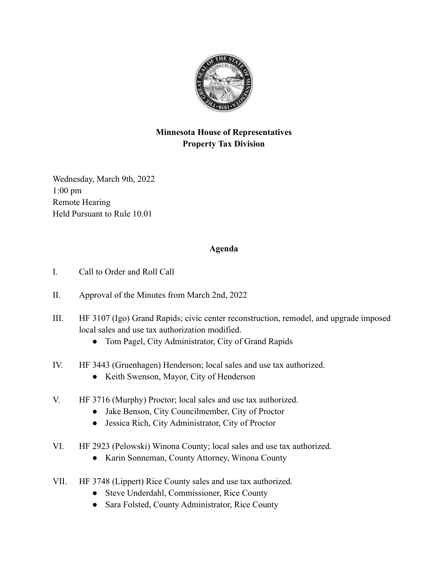

## **Minnesota House of Representatives Property Tax Division**

Wednesday, March 9th, 2022 1:00 pm Remote Hearing Held Pursuant to Rule 10.01

## **Agenda**

- I. Call to Order and Roll Call
- II. Approval of the Minutes from March 2nd, 2022
- III. HF 3107 (Igo) Grand Rapids; civic center reconstruction, remodel, and upgrade imposed local sales and use tax authorization modified.
	- Tom Pagel, City Administrator, City of Grand Rapids
- IV. HF 3443 (Gruenhagen) Henderson; local sales and use tax authorized.
	- Keith Swenson, Mayor, City of Henderson
- V. HF 3716 (Murphy) Proctor; local sales and use tax authorized.
	- Jake Benson, City Councilmember, City of Proctor
	- Jessica Rich, City Administrator, City of Proctor
- VI. HF 2923 (Pelowski) Winona County; local sales and use tax authorized.
	- Karin Sonneman, County Attorney, Winona County
- VII. HF 3748 (Lippert) Rice County sales and use tax authorized.
	- Steve Underdahl, Commissioner, Rice County
	- Sara Folsted, County Administrator, Rice County